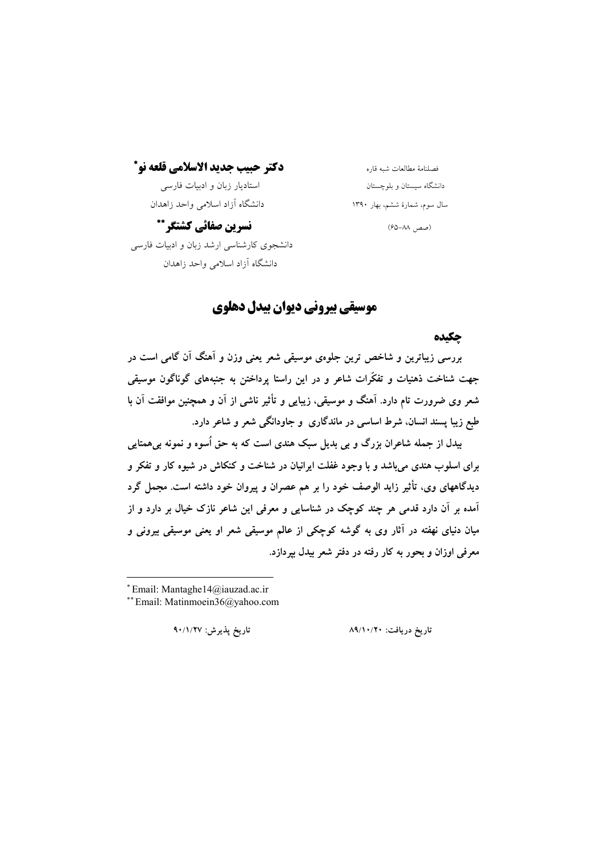# دكتر حييب جديد الاسلامي قلعه نو\*

استادیار زبان و ادبیات فارسی دانشگاه آزاد اسلامی واحد زاهدان

# فصلنامهٔ مطالعات شبه قاره دانشگاه سیستان و بلوچستان سال سوم، شمارهٔ ششم، بهار ۱۳۹۰

(صص ٨٨–۶۵)

نسرين صفائي كشتكر \*\* دانشجوی کارشناسی ارشد زبان و ادبیات فارسی دانشگاه آزاد اسلامی واحد زاهدان

# موسیقی بیرونی دیوان بیدل دهلوی

## چکیده

بررسی زیباترین و شاخص ترین جلوهی موسیقی شعر یعنی وزن و آهنگ آن گامی است در جهت شناخت ذهنیات و تفکّرات شاعر و در این راستا پرداختن به جنبههای گوناگون موسیقی شعر وی ضرورت تام دارد. آهنگ و موسیقی، زیبایی و تأثیر ناشی از آن و همچنین موافقت آن با طبع زیبا پسند انسان، شرط اساسی در ماندگاری و جاودانگی شعر و شاعر دارد.

بيدل از جمله شاعران بزرگ و بي بديل سبک هندي است که به حق اُسوه و نمونه بي همتابي برای اسلوب هندی می باشد و با وجود غفلت ایرانیان در شناخت و کنکاش در شیوه کار و تفکر و دیدگاههای وی، تأثیر زاید الوصف خود را بر هم عصران و پیروان خود داشته است. مجمل گرد آمده بر آن دارد قدمی هر چند کوچک در شناسایی و معرفی این شاعر نازک خیال بر دارد و از میان دنیای نهفته در آثار وی به گوشه کوچکی از عالم موسیقی شعر او یعنی موسیقی بیرونی و معرفی اوزان و بحور به کار رفته در دفتر شعر بیدل بیردازد.

تاريخ يذيرش: ٩٠/١/٢٧

تاريخ دريافت: ٨٩/١٠/٢٠

<sup>\*</sup>Email: Mantaghe14@iauzad.ac.ir

<sup>\*\*</sup> Email: Matinmoein36@yahoo.com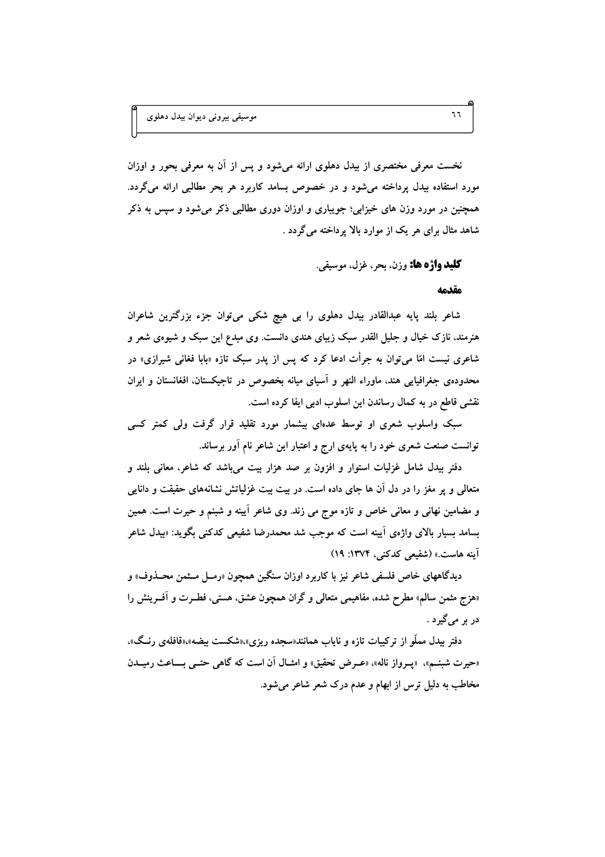نخست معرفی مختصری از بیدل دهلوی ارائه میشود و پس از آن به معرفی بحور و اوزان مورد استفاده بیدل پرداخته میشود و در خصوص بسامد کاربرد هر بحر مطالبی ارائه میگردد. همچنین در مورد وزن های خیزابی؛ جویباری و اوزان دوری مطالبی ذکر میشود و سپس به ذکر شاهد مثال برای هر یک از موارد بالا پرداخته می گردد .

**کليد واژه ها:** وزن، يجي غزل، موسيقي.

#### مقدمه

شاعر بلند پایه عبدالقادر بیدل دهلوی را بی هیچ شکی میتوان جزء بزرگترین شاعران هنرمند، نازک خیال و جلیل القدر سبک زیبای هندی دانست. وی مبدع این سبک و شیوهی شعر و شاعری نیست امّا می;توان به جرأت ادعا کرد که پس از پدر سبک تازه «بابا فغانی شیرازی» در محدودهی جغرافیایی هند، ماوراء النهر و آسیای میانه بخصوص در تاجیکستان، افغانستان و ایران نقشی قاطع در به کمال رساندن این اسلوب ادبی ایفا کرده است.

سبک واسلوب شعری او توسط عدهای بیشمار مورد تقلید قرار گرفت ولی کمتر کسی توانست صنعت شعری خود را به پایهی ارج و اعتبار این شاعر نام آور برساند.

دفتر بیدل شامل غزلیات استوار و افزون بر صد هزار بیت میباشد که شاعر، معانی بلند و متعالی و یر مغز را در دل آن ها جای داده است. در بیت بیت غزلیاتش نشانههای حقیقت و دانایی و مضامین نهانی و معانی خاص و تازه موج می زند. وی شاعر آیینه و شبنم و حیرت است. همین بسامد بسیار بالای واژهی اَیینه است که موجب شد محمدرضا شفیعی کدکنی بگوید: «بیدل شاعر آینه هاست.» (شفیعی کدکنی، ۱۳۷۴: ۱۹)

دیدگاههای خاص فلسفی شاعر نیز با کاربرد اوزان سنگین همچون «رمــل مــثمن محــذوف» و «هزج مثمن سالم» مطرح شده، مفاهیمی متعالمی و گران همچون عشق، هستی، فطـرت و آفــرینش را دربر مي گيرد .

دفتر بیدل مملّو از ترکیبات تازه و نایاب همانند«سجده ریزی»،«شکست بیضه»،«قافلهی رنـگ»، «حیرت شبنـم»، «پـرواز ناله»، «عـرض تحقیق» و امثـال آن است که گاهی حتـبی بـــاعث رمیــدن مخاطب به دلیل ترس از ابهام و عدم درک شعر شاعر میشود.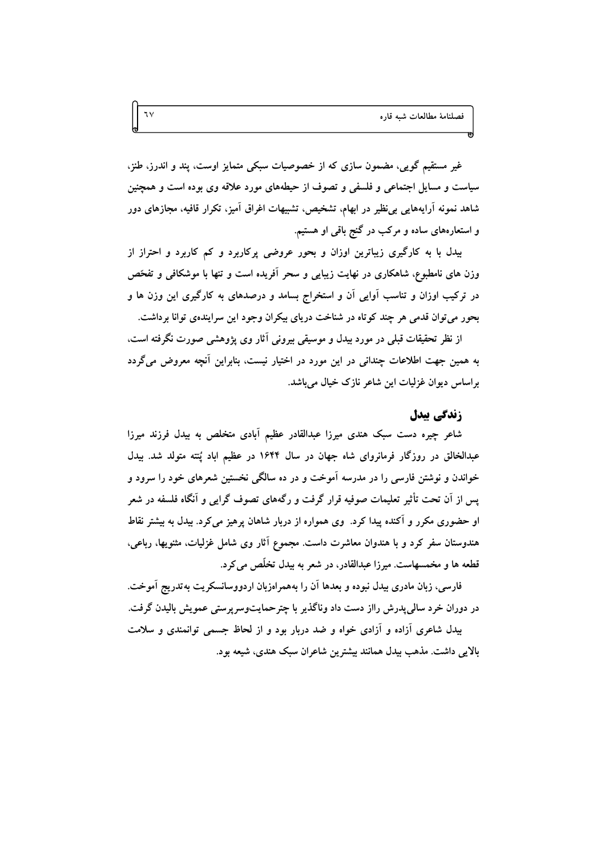غیر مستقیم گویی، مضمون سازی که از خصوصیات سبکی متمایز اوست، پند و اندرز، طنز، سیاست و مسایل اجتماعی و فلسفی و تصوف از حیطههای مورد علاقه وی بوده است و همچنین شاهد نمونه آرایههایی بی نظیر در ابهام، تشخیص، تشبیهات اغراق آمیز، تکرار قافیه، مجازهای دور و استعارههای ساده و مرکب در گنج باقی او هستیم.

بیدل با به کارگیری زیباترین اوزان و بحور عروضی پرکاربرد و کم کاربرد و احتراز از وزن های نامطبوع، شاهکاری در نهایت زیبایی و سحر آفریده است و تنها با موشکافی و تفحّص در ترکیب اوزان و تناسب آوایی آن و استخراج بسامد و درصدهای به کارگیری این وزن ها و بحور مي توان قدمي هر چند كوتاه در شناخت درياي بيكران وجود اين سرايندهي توانا برداشت.

از نظر تحقیقات قبلی در مورد بیدل و موسیقی بیرونی آثار وی پژوهشی صورت نگرفته است. به همین جهت اطلاعات چندانی در این مورد در اختیار نیست، بنابراین آنچه معروض میگردد براساس ديوان غزليات اين شاعر نازک خيال مي باشد.

## زندگی بیدل

شاعر چیره دست سبک هندی میرزا عبدالقادر عظیم آبادی متخلص به بیدل فرزند میرزا عبدالخالق در روزگار فرمانروای شاه جهان در سال ۱۶۴۴ در عظیم اباد پُنته متولد شد. بیدل خواندن و نوشتن فارسی را در مدرسه آموخت و در ده سالگی نخستین شعرهای خود را سرود و یس از آن تحت تأثیر تعلیمات صوفیه قرار گرفت و رگههای تصوف گرایی و آنگاه فلسفه در شعر او حضوری مکرر و آکنده پیدا کرد. وی همواره از دربار شاهان پرهیز می کرد. بیدل به بیشتر نقاط هندوستان سفر کرد و با هندوان معاشرت داست. مجموع آثار وی شامل غزلیات، مثنویها، رباعی، قطعه ها و مخمسهاست. میرزا عبدالقادر، در شعر به بیدل تخلّص می کرد.

فارسی، زبان مادری بیدل نبوده و بعدها آن را بههمراهزبان اردووسانسکریت بهتدریج آموخت. در دوران خرد سالی پدرش رااز دست داد وناگذیر با چترحمایتوسرپرستی عمویش بالیدن گرفت.

بیدل شاعری آزاده و آزادی خواه و ضد دربار بود و از لحاظ جسمی توانمندی و سلامت بالايي داشت. مذهب بيدل همانند بيشترين شاعران سبک هندي، شيعه بود.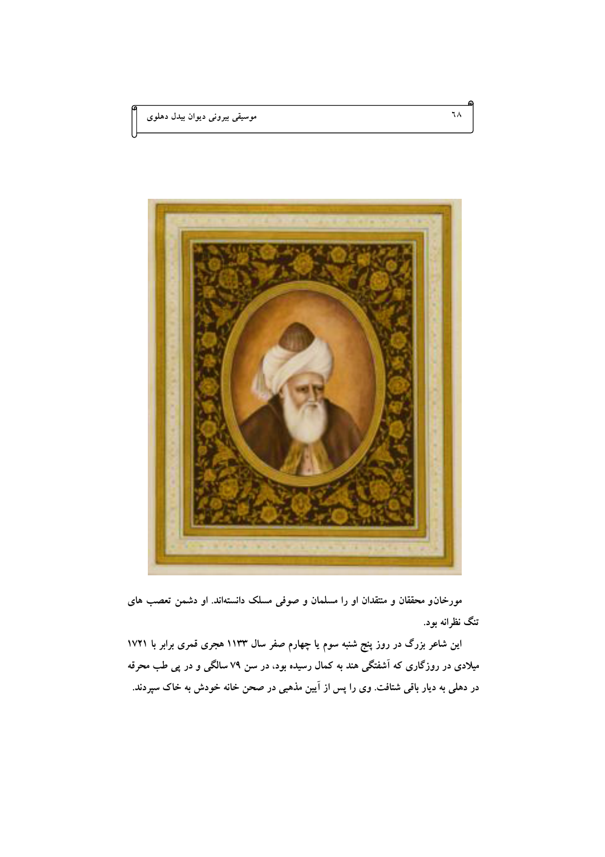

مورخانو محققان و منتقدان او را مسلمان و صوفی مسلک دانستهاند. او دشمن تعصب های تنگ نظرانه بود.

این شاعر بزرگ در روز پنج شنبه سوم یا چهارم صفر سال ۱۱۳۳ هجری قمری برابر با ۱۷۲۱ میلادی در روزگاری که آشفتگی هند به کمال رسیده بود، در سن ۷۹ سالگی و در پی طب محرقه در دهلی به دیار باقی شتافت. وی را پس از آیین مذهبی در صحن خانه خودش به خاک سپردند.

٦٨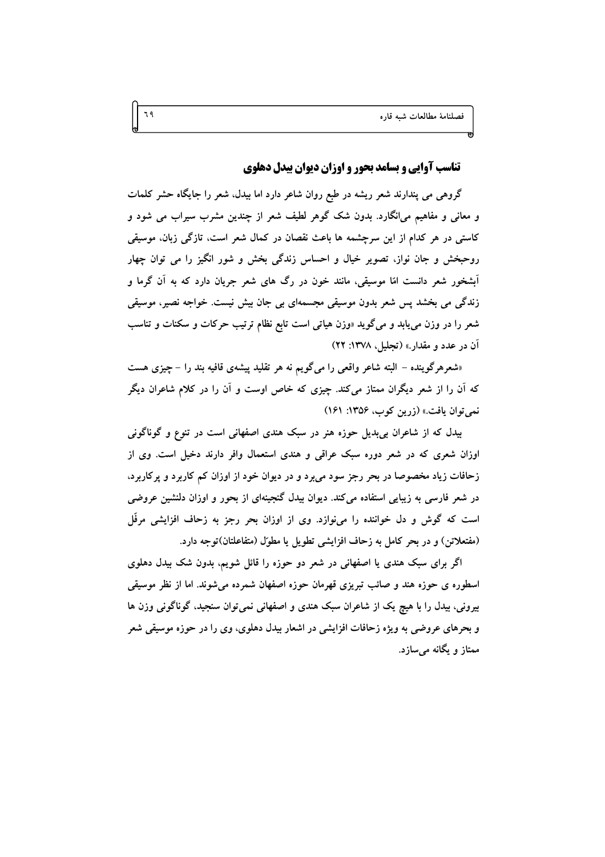# **تناسب آوایی و بسامد بحور و اوزان دیوان بیدل دهلوی**

گروهی می پندارند شعر ریشه در طبع روان شاعر دارد اما بیدل، شعر را جایگاه حشر کلمات و معانی و مفاهیم می|نگارد. بدون شک گوهر لطیف شعر از چندین مشرب سیراب می شود و کاستی در هر کدام از این سرچشمه ها باعث نقصان در کمال شعر است. تازگی زبان. موسیقی روحبخش و جان نواز، تصویر خیال و احساس زندگی بخش و شور انگیز را می توان چهار آبشخور شعر دانست امّا موسیقی، مانند خون در رگ های شعر جریان دارد که به آن گرما و زندگی می بخشد پس شعر بدون موسیقی مجسمهای بی جان بیش نیست. خواجه نصیر، موسیقی شعر را در وزن مي يابد و ميگويد «وزن هياتي است تابع نظام ترتيب حركات و سكنات و تناسب آن در عدد و مقدار.» (تجلیل، ۱۳۷۸: ۲۲)

«شعرهرگوینده – البته شاعر واقعی را میگویم نه هر تقلید پیشهی قافیه بند را – چیزی هست که آن را از شعر دیگران ممتاز میکند. چیزی که خاص اوست و آن را در کلام شاعران دیگر نمي توان يافت.» (زرين كوب، ١٣٥۶: ١۶١)

بیدل که از شاعران بی بدیل حوزه هنر در سبک هندی اصفهانی است در تنوع و گوناگونی اوزان شعری که در شعر دوره سبک عراقی و هندی استعمال وافر دارند دخیل است. وی از زحافات زیاد مخصوصا در بحر رجز سود می برد و در دیوان خود از اوزان کم کاربرد و پرکاربرد، در شعر فارسی به زیبایی استفاده میکند. دیوان بیدل گنجینهای از بحور و اوزان دلنشین عروضی است که گوش و دل خواننده را می $\,$ نوازد. وی از اوزان بحر رجز به زحاف افزایشی مرفّل (مفتعلاتن) و در بحر كامل به زحاف افزايشي تطويل يا مطوِّل (متفاعلتان)توجه دارد.

اگر برای سبک هندی یا اصفهانی در شعر دو حوزه را قائل شویم، بدون شک بیدل دهلوی اسطوره ي حوزه هند و صائب تبريزي قهرمان حوزه اصفهان شمرده مي شوند. اما از نظر موسيقى بیرونی، بیدل را با هیچ یک از شاعران سبک هندی و اصفهانی نمی توان سنجید، گوناگونی وزن ها و بحرهای عروضی به ویژه زحافات افزایشی در اشعار بیدل دهلوی، وی را در حوزه موسیقی شعر ممتاز و یگانه مے سازد.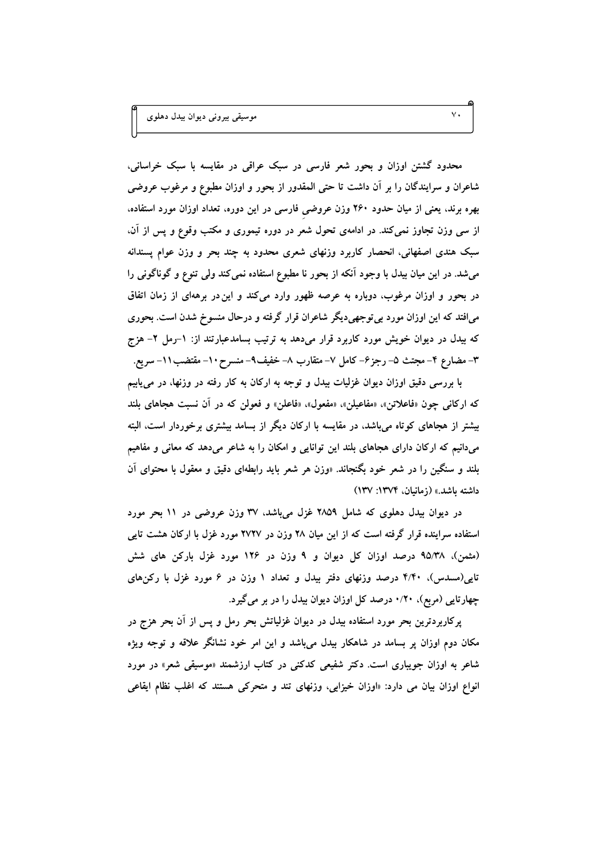موسیقی بیرونی دیوان بیدل دهلوی

محدود گشتن اوزان و بحور شعر فارسی در سبک عراقبی در مقایسه با سبک خراسانی، شاعران و سرایندگان را بر آن داشت تا حتی المقدور از بحور و اوزان مطبوع و مرغوب عروضی بهره برند، یعنی از میان حدود ۲۶۰ وزن عروضی فارسی در این دوره، تعداد اوزان مورد استفاده، از سی وزن تجاوز نمی کند. در ادامهی تحول شعر در دوره تیموری و مکتب وقوع و پس از آن، سبک هندی اصفهانی، انحصار کاربرد وزنهای شعری محدود به چند بحر و وزن عوام پسندانه میشد. در این میان بیدل با وجود آنکه از بحور نا مطبوع استفاده نمی کند ولی تنوع و گوناگونی را در بحور و اوزان مرغوب، دوباره به عرصه ظهور وارد می کند و این در برههای از زمان اتفاق میافتد که این اوزان مورد بی توجهیدیگر شاعران قرار گرفته و درحال منسوخ شدن است. بحوری که بیدل در دیوان خویش مورد کاربرد قرار میدهد به ترتیب بسامدعبارتند از: ١-رمل ٢- هزج ٣– مضارع ۴– مجتث ۵– رجز۶– کامل ۷– متقارب ۸– خفیف۹– منسرح ۱۰– مقتضب۱۱– سریع.

با بررسی دقیق اوزان دیوان غزلیات بیدل و توجه به ارکان به کار رفته در وزنها، در میtابیم که ارکانی چون «فاعلاتن». «مفاعیلن»، «مفعول»، «فاعلن» و فعولن که در آن نسبت هجاهای بلند بیشتر از هجاهای کوتاه میباشد، در مقایسه با ارکان دیگر از بسامد بیشتری برخوردار است، البته میدانیم که ارکان دارای هجاهای بلند این توانایی و امکان را به شاعر میدهد که معانی و مفاهیم بلند و سنگین را در شعر خود بگنجاند. «وزن هر شعر باید رابطهای دقیق و معقول با محتوای اَن داشته باشد.» (زمانیان، ۱۳۷۴: ۱۳۷)

در دیوان بیدل دهلوی که شامل ۲۸۵۹ غزل میباشد، ۳۷ وزن عروضی در ۱۱ بحر مورد استفاده سراینده قرار گرفته است که از این میان ۲۸ وزن در ۲۷۲۷ مورد غزل با ارکان هشت تایی (مثمن)، ۹۵/۳۸ درصد اوزان کل دیوان و ۹ وزن در ۱۲۶ مورد غزل بارکن های شش تایی(مسدس)، ۴/۴۰ درصد وزنهای دفتر بیدل و تعداد ۱ وزن در ۶ مورد غزل با رکنهای چهارتایی (مربع)، ۱/۲۰ درصد کل اوزان دیوان بیدل را در بر میگیرد.

پرکاربردترین بحر مورد استفاده بیدل در دیوان غزلیاتش بحر رمل و پس از آن بحر هزج در مکان دوم اوزان پر بسامد در شاهکار بیدل میباشد و این امر خود نشانگر علاقه و توجه ویژه شاعر به اوزان جویباری است. دکتر شفیعی کدکنی در کتاب ارزشمند «موسیقی شعر» در مورد انواع اوزان بیان می دارد: «اوزان خیزابی، وزنهای تند و متحرکی هستند که اغلب نظام ایقاعی

 $\vee$ .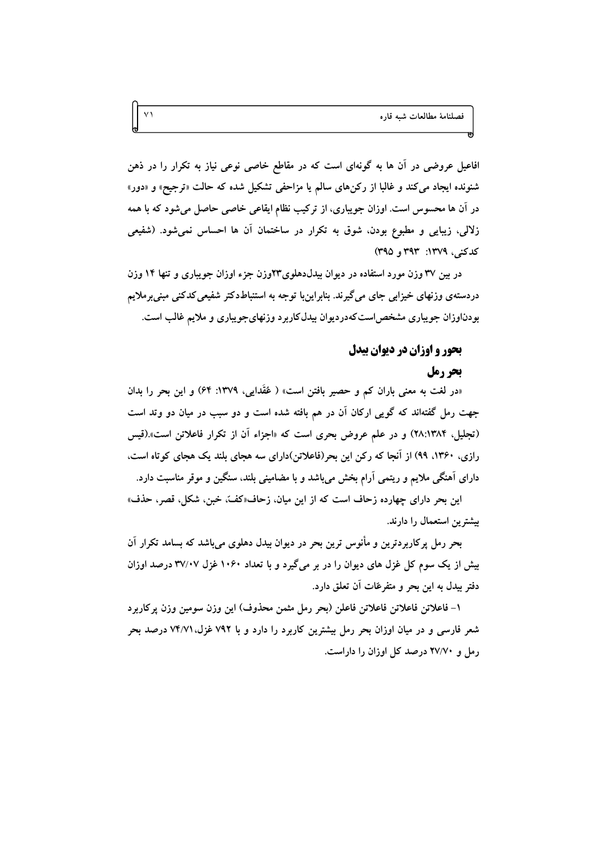افاعیل عروضی در آن ها به گونهای است که در مقاطع خاصی نوعی نیاز به تکرار را در ذهن شنونده ایجاد میکند و غالبا از رکن های سالم یا مزاحفی تشکیل شده که حالت «ترجیح» و «دور» در آن ها محسوس است. اوزان جویباری، از ترکیب نظام ایقاعی خاصی حاصل میشود که با همه زلالی، زیبایی و مطبوع بودن، شوق به تکرار در ساختمان آن ها احساس نمیشود. (شفیعی كدكنر، ١٣٧٩: ٣٩٣ و ٣٩٥)

در بین ۳۷ وزن مورد استفاده در دیوان بیدلدهلوی۳۳وزن جزء اوزان جویباری و تنها ۱۴ وزن دردستهی وزنهای خیزابی جای می گیرند. بنابراینبا توجه به استنباطدکتر شفیعی کدکنی مبنی برملایم بودناوزان جویباری مشخص استکهدردیوان بیدلکاربرد وزنهای جویباری و ملایم غالب است.

# بحور و اوزان در دیوان بیدل

### بحر رمل

«در لغت به معنی باران کم و حصیر بافتن است» ( عُقَدایی، ۱۳۷۹: ۶۴) و این بحر را بدان جهت رمل گفتهاند که گویی ارکان آن در هم بافته شده است و دو سبب در میان دو وتد است (تجلیل. ۲۸:۱۳۸۴) و در علم عروض بحری است که «اجزاء آن از تکرار فاعلاتن است».(قیس رازی، ۱۳۶۰، ۹۹) از آنجا که رکن این بحر(فاعلاتن)دارای سه هجای بلند یک هجای کوتاه است. دارای آهنگی ملایم و ریتمی آرام بخش می باشد و با مضامینی بلند، سنگین و موقر مناسبت دارد.

این بحر دارای چهارده زحاف است که از این میان، زحاف«کفّ، خبز،، شکل، قصر، حذف» بیشترین استعمال را دارند.

بحر رمل پرکاربردترین و مأنوس ترین بحر در دیوان بیدل دهلوی می باشد که بسامد تکرار آن بیش از یک سوم کل غزل های دیوان را در بر میگیرد و با تعداد ۱۰۶۰ غزل ۳۷/۰۷ درصد اوزان دفتر بيدل به اين بحر و متفرعّات آن تعلق دارد.

۱– فاعلاتن فاعلاتن فاعلاتن فاعلن (بحر رمل مثمن محذوف) این وزن سومین وزن پرکاربرد شعر فارسی و در میان اوزان بحر رمل بیشترین کاربرد را دارد و با ۷۹۲ غزل،۷۴/۷۱ درصد بحر رمل و ۲۷/۷۰ درصد کل اوزان را داراست.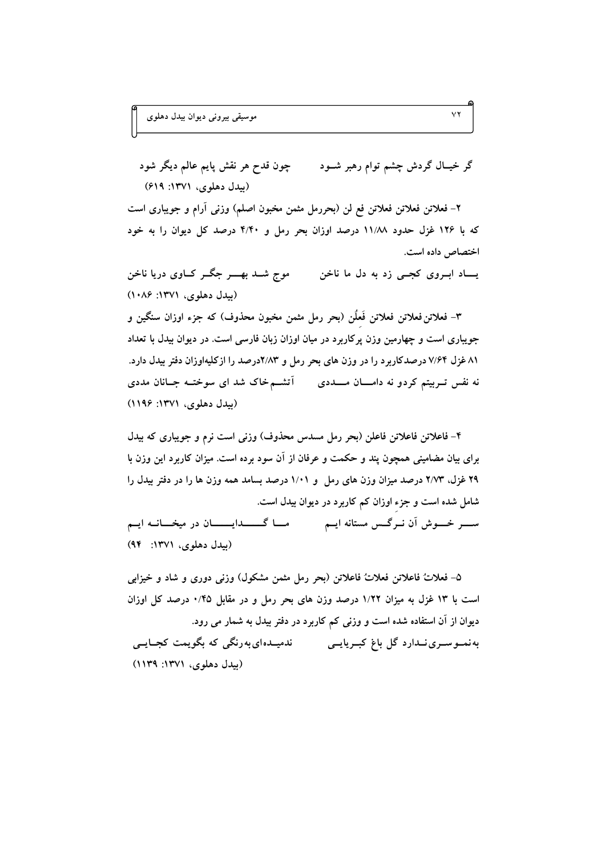چون قدح هر نقش پايم عالم ديگر شود گر خیــال گردش چشم توام رهبر شــود (بیدل دهلوی، ۱۳۷۱: ۶۱۹)

۲– فعلاتن فعلاتن فعلاتن فع لن (بحررمل مثمن مخبون اصلم) وزنى أرام و جويبارى است که با ۱۲۶ غزل حدود ۱۱/۸۸ درصد اوزان بحر رمل و ۴/۴۰ درصد کل دیوان را به خود اختصاص داده است.

موج شــد بھــــر جگــر کـــاوي دريا ناخن یــاد ابـروی کجــی زد به دل ما ناخن (سدل دهلوی، ۱۳۷۱: ۱۰۸۶)

٣- فعلاتن فعلاتن فعلاتن فَعلَن (بحر رمل مثمن مخبون محذوف) که جزء اوزان سنگین و جویباری است و چهارمین وزن پرکاربرد در میان اوزان زبان فارسی است. در دیوان بیدل با تعداد ۸۱ غزل ۷/۶۴ درصدکاربرد را در وزن های بحر رمل و ۲/۸۳درصد را ازکلیهاوزان دفتر بیدل دارد. نه نفس تـربیتم کردو نه دامــــان مـــددی \_\_ آتشــم خاک شد ای سوختــه جــانان مددی (بیدل دهلوی، ۱۳۷۱: ۱۱۹۶)

۴- فاعلاتن فاعلاتن فاعلن (بحر رمل مسدس محذوف) وزنى است نرم و جويبارى كه بيدل برای بیان مضامینی همچون پند و حکمت و عرفان از آن سود برده است. میزان کاربرد این وزن با ۲۹ غزل، ۲/۷۳ درصد میزان وزن های رمل و ۱/۰۱ درصد بسامد همه وزن ها را در دفتر بیدل را شامل شده است و جزء اوزان کم کاربرد در دیوان بیدل است. ســـر خـــوش اَن نــرگــس مستانه ايــم مــــا گـــــــدايــــــــان در ميخــــانــه ايــم (بیدل دهلوی، ۱۳۷۱: ۹۴)

۵– فعلاتٌ فاعلاتن فعلاتٌ فاعلاتن (بحر رمل مثمن مشكول) وزني دوري و شاد و خيزابي است با ۱۳ غزل به میزان ۱/۲۲ درصد وزن های بحر رمل و در مقابل ۰/۴۵ درصد کل اوزان دیوان از آن استفاده شده است و وزنی کم کاربرد در دفتر بیدل به شمار می رود. (بيدل دهلوي، ١٣٧١: ١١٣٩)

 $\vee$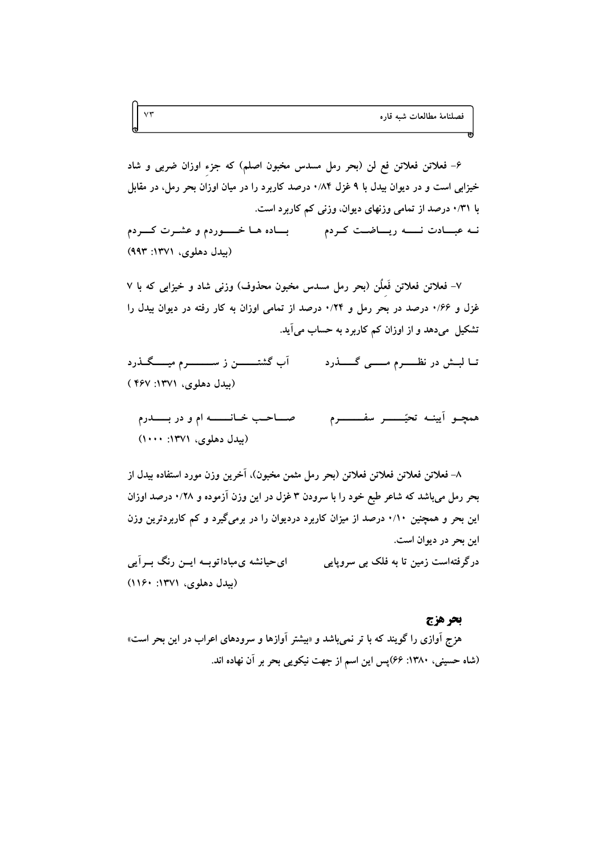۶– فعلاتن فعلاتن فع لن (بحر رمل مسدس مخبون اصلم) که جزء اوزان ضربی و شاد خیزابی است و در دیوان بیدل با ۹ غزل ۰/۸۴ درصد کاربرد را در میان اوزان بحر رمل، در مقابل با ۰/۳۱ درصد از تمامی وزنهای دیوان، وزنی کم کاربرد است. نـه عبــادت نــــه ريــاضــت كـردم مـــــــ بــاده هـا خــــوردم و عشـرت كـــردم (بيدل دهلوي، ١٣٧١: ٩٩٣)

٧– فعلاتن فعلاتن فَعلُن (بحر رمل مسدس مخبون محذوف) وزني شاد و خيزابي كه با ٧ غزل و ۱/۶۶ درصد در بحر رمل و ۰/۲۴ درصد از تمامی اوزان به کار رفته در دیوان بیدل را تشکیل میدهد و از اوزان کم کاربرد به حساب می آید.

آب گشتـــــــــن ز ســـــــــــــرم میـــــــگــــذرد تــا لبـــش در نظـــــــرم مــــــــى گــــــــذرد (بیدل دهلوی، ۱۳۷۱: ۴۶۷)

صناحب خانسته ام و در بسندرم همجـو أيينـه تحيّــــــر سفــــــــرم (بیدل دهلوی، ۱۳۷۱: ۱۰۰۰)

٨– فعلاتن فعلاتن فعلاتن فعلاتن (بحر رمل مثمن مخبون)، آخرين وزن مورد استفاده بيدل از بحر رمل میباشد که شاعر طبع خود را با سرودن ۳ غزل در این وزن آزموده و ۰/۲۸ درصد اوزان این بحر و همچنین ۰/۱۰ درصد از میزان کاربرد دردیوان را در برمیگیرد و کم کاربردترین وزن اين بحر در ديوان است.

ای حیانشه ی مباداتوب ایس رنگ به آیی درگرفتهاست زمین تا به فلک بی سروپایی (بیدل دهلوی، ۱۳۷۱: ۱۱۶۰)

#### بحر هزج

هزج آوازی را گویند که با تر نمی<sub>ا</sub>شد و «بیشتر آوازها و سرودهای اعراب در این بحر است» (شاه حسینی، ۱۳۸۰: ۶۶)پس این اسم از جهت نیکویی بحر بر آن نهاده اند.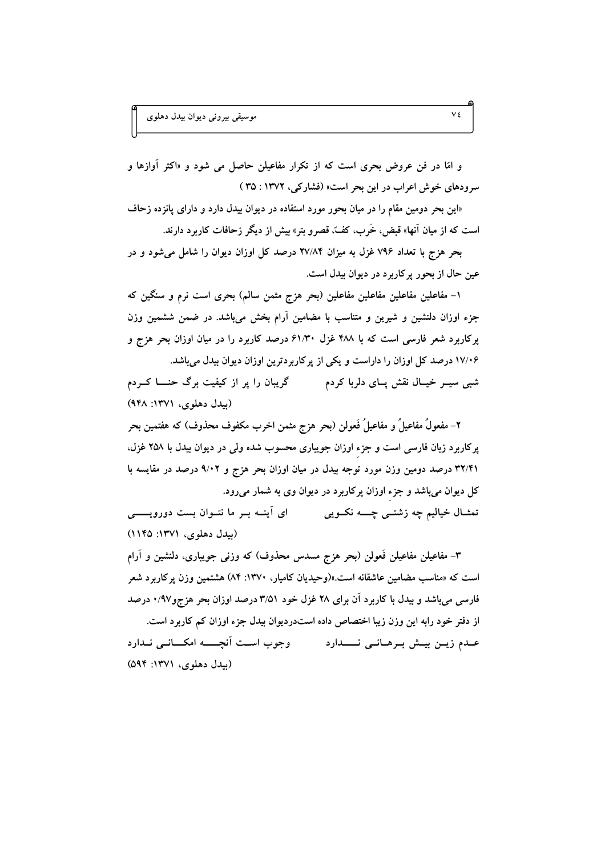و امّا در فن عروض بحرى است كه از تكرار مفاعيلن حاصل مى شود و «اكثر آوازها و سرودهای خوش اعراب در این بحر است» (فشارکی، ۱۳۷۲ : ۳۵)

«این بحر دومین مقام را در میان بحور مورد استفاده در دیوان بیدل دارد و دارای پانزده زحاف است که از میان آنها» قبض، خَرب، کفّ، قصرو بتر» بیش از دیگر زحافات کاربرد دارند.

بحر هزج با تعداد ۷۹۶ غزل به میزان ۲۷/۸۴ درصد کل اوزان دیوان را شامل می شود و در عين حال از بحور پر كاربرد در ديوان بيدل است.

۱– مفاعلین مفاعلین مفاعلین مفاعلین (بحر هزج مثمن سالم) بحری است نرم و سنگین که جزء اوزان دلنشین و شیرین و متناسب با مضامین آرام بخش میباشد. در ضمن ششمین وزن یرکاربرد شعر فارسی است که با ۴۸۸ غزل ۶۱/۳۰ درصد کاربرد را در میان اوزان بحر هزج و ۱۷/۰۶ درصد کل اوزان را داراست و یکی از پرکاربردترین اوزان دیوان بیدل میباشد. شبی سیــر خیــال نقش پــای دلربا کردم گریبان را پر از کیفیت برگ حنــــا کـــردم (بیدل دهلوی، ۱۳۷۱: ۹۴۸)

٢– مفعولٌ مفاعيلٌ و مفاعيلٌ فَعولن (بحر هزج مثمن اخرب مكفوف محذوف) كه هفتمين بحر پرکاربرد زبان فارسی است و جزء اوزان جویباری محسوب شده ولی در دیوان بیدل با ۲۵۸ غزل، ۳۲/۴۱ درصد دومین وزن مورد توجه بیدل در میان اوزان بحر هزج و ۹/۰۲ درصد در مقایسه با کل دیوان میباشد و جزء اوزان پرکاربرد در دیوان وی به شمار میرود. ای اَپنــه بــر ما نتــوان بست دورویـــــــی تمثــال خياليم چه زشتــي چـــــه نکــويي

(بېدل دهلوی، ۱۳۷۱: ۱۱۴۵)

٣- مفاعیلن مفاعیلن فَعولن (بحر هزج مسدس محذوف) که وزنی جویباری، دلنشین و آرام است که «مناسب مضامین عاشقانه است.»(وحیدیان کامیار، ۱۳۷۰: ۸۴) هشتمین وزن پر کاربرد شعر فارسی می باشد و بیدل با کاربرد آن برای ۲۸ غزل خود ۳/۵۱ درصد اوزان بحر هزجو۹۷/۰ درصد از دفتر خود رابه این وزن زیبا اختصاص داده استدردیوان بیدل جزء اوزان کم کاربرد است. عبدم زيين بيبش ببرهباني نسبدارد مستسمر وجوب است أنجسته امكساني نبدارد (بیدل دهلوی، ۱۳۷۱: ۵۹۴)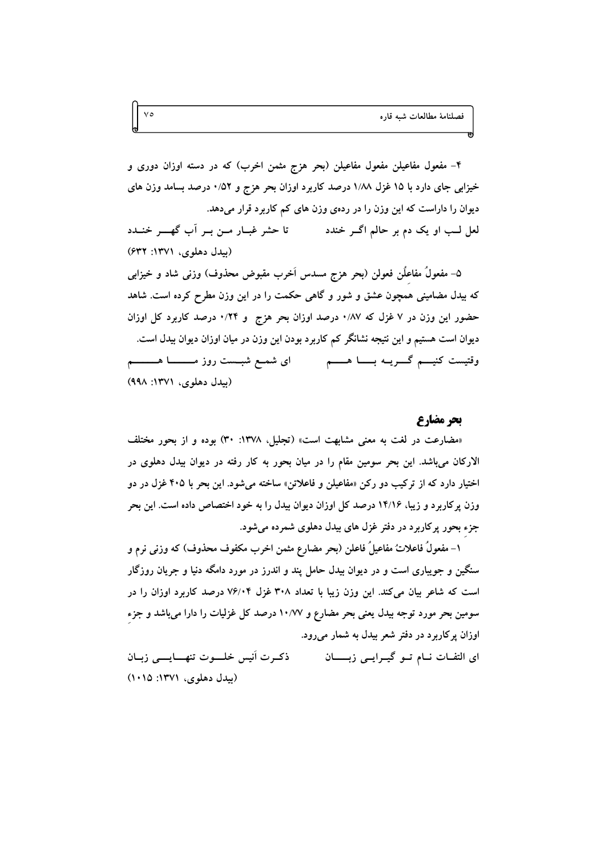۴– مفعول مفاعیلن مفعول مفاعیلن (بحر هزج مثمن اخرب) که در دسته اوزان دوری و خیزابی جای دارد با ۱۵ غزل ۱۸۸ درصد کاربرد اوزان بحر هزج و ۰/۵۲ درصد بسامد وزن های دیوان را داراست که این وزن را در ردهی وزن های کم کاربرد قرار میدهد. تا حشر غبـار مـن بـر آب گهــر خنـدد لعل لــب او يک دم بر حالم اگــر خندد (بيدل دهلوی، ١٣٧١: ۶۳۲)

۵– مفعولٌ مفاعلٌن فعولن (بحر هزج مسدس اَخرب مقبوض محذوف) وزنی شاد و خیزابی که بیدل مضامینی همچون عشق و شور و گاهی حکمت را در این وزن مطرح کرده است. شاهد حضور این وزن در ۷ غزل که ۰/۸۷ درصد اوزان بحر هزج و ۰/۲۴ درصد کاربرد کل اوزان دیوان است هستیم و این نتیجه نشانگر کم کاربرد بودن این وزن در میان اوزان دیوان بیدل است. وقتیست کنیـــم گـــــریــه بـــــــا هـــــــم ای شمــع شبـــست روز مـــــــــــا هــــــــــم (بیدل دهلوی، ۱۳۷۱: ۹۹۸)

## **یج مضا, ع**

«مضارعت در لغت به معنى مشابهت است» (تجليل، ١٣٧٨: ٣٠) بوده و از بحور مختلف الارکان میباشد. این بحر سومین مقام را در میان بحور به کار رفته در دیوان بیدل دهلوی در اختیار دارد که از ترکیب دو رکن «مفاعیلن و فاعلاتن» ساخته میشود. این بحر با ۴۰۵ غزل در دو وزن پرکاربرد و زیبا، ۱۴/۱۶ درصد کل اوزان دیوان بیدل را به خود اختصاص داده است. این بحر جزء بحور پرکاربرد در دفتر غزل های بیدل دهلوی شمرده میشود.

١– مفعولٌ فاعلاتٌ مفاعيلٌ فاعلن (بحر مضارع مثمن اخرب مكفوف محذوف) كه وزنى نرم و سنگین و جویباری است و در دیوان بیدل حامل پند و اندرز در مورد دامگه دنیا و جریان روزگار است که شاعر بیان میکند. این وزن زیبا با تعداد ۳۰۸ غزل ۷۶/۰۴ درصد کاربرد اوزان را در سومین بحر مورد توجه بیدل یعنی بحر مضارع و ۱۰/۷۷ درصد کل غزلیات را دارا میباشد و جزء اوزان پرکاربرد در دفتر شعر بیدل به شمار میرود.

ذكىرت أنيس خلسوت تنهسايسي زببان ای التفــات نـــام تـــو گیـــرایـــی زبــــــــان (بیدل دهلوی، ۱۳۷۱: ۱۰۱۵)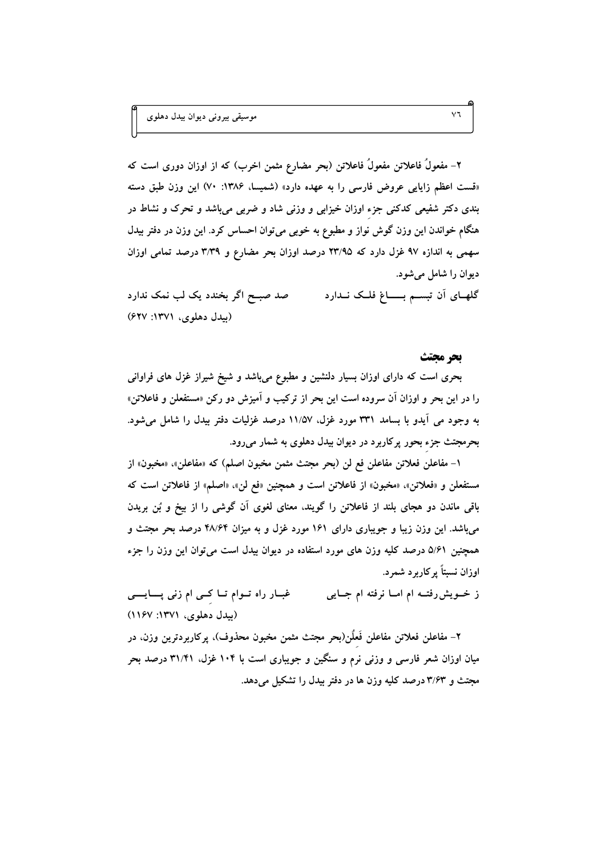۲– مفعولٌ فاعلاتن مفعولٌ فاعلاتن (بحر مضارع مثمن اخرب) که از اوزان دوری است که «قست اعظم زایایی عروض فارسی را به عهده دارد» (شمیسا، ۱۳۸۶: ۷۰) این وزن طبق دسته بندی دکتر شفیعی کدکنی جزء اوزان خیزابی و وزنی شاد و ضربی میباشد و تحرک و نشاط در هنگام خواندن این وزن گوش نواز و مطبوع به خوبی میتوان احساس کرد. این وزن در دفتر بیدل سهمی به اندازه ۹۷ غزل دارد که ۲۳/۹۵ درصد اوزان بحر مضارع و ۳/۳۹ درصد تمامی اوزان ديوان را شامل مي شود.

صد صبــح اگر بخندد یک لب نمک ندارد گلهـای آن تبسـم بــــاغ فلــک نــدارد (بيدل دهلوي، ١٣٧١: ۶۲۷)

#### بحر محتث

بحری است که دارای اوزان بسیار دلنشین و مطبوع میباشد و شیخ شیراز غزل های فراوانی را در این بحر و اوزان آن سروده است این بحر از ترکیب و آمیزش دو رکن «مستفعلن و فاعلاتن» به وجود می آیدو با بسامد ۳۳۱ مورد غزل، ۱۱/۵۷ درصد غزلیات دفتر بیدل را شامل می شود. بحرمجتث جزء بحور پرکاربرد در دیوان بیدل دهلوی به شمار میرود.

۱– مفاعلن فعلاتن مفاعلن فع لن (بحر مجتث مثمن مخبون اصلم) که «مفاعلن». «مخبون» از مستفعلن و «فعلاتن»، «مخبون» از فاعلاتن است و همچنین «فع لن»، «اصلم» از فاعلاتن است که باقی ماندن دو هجای بلند از فاعلاتن را گویند، معنای لغوی آن گوشی را از بیخ و بُن بریدن می،باشد. این وزن زیبا و جویباری دارای ۱۶۱ مورد غزل و به میزان ۴۸/۶۴ درصد بحر مجتث و همچنین ۵/۶۱ درصد کلیه وزن های مورد استفاده در دیوان بیدل است می توان این وزن را جزء اوزان نسبتاً پر کاربرد شمرد.

ز خــویش٫فتــه ام امــا نرفته ام جــایی غبــار راه تــوام تــا کـــی ام زنی پــــایـــــی (بیدل دهلوی، ۱۳۷۱: ۱۱۶۷)

۲– مفاعلن فعلاتن مفاعلن فَعلُن(بحر مجتث مثمن مخبون محذوف)، پرکاربردترین وزن، در میان اوزان شعر فارسی و وزنی نرم و سنگین و جویباری است با ۱۰۴ غزل، ۳۱/۴۱ درصد بحر مجتث و ۳/۶۳ درصد کلیه وزن ها در دفتر بیدل را تشکیل می دهد.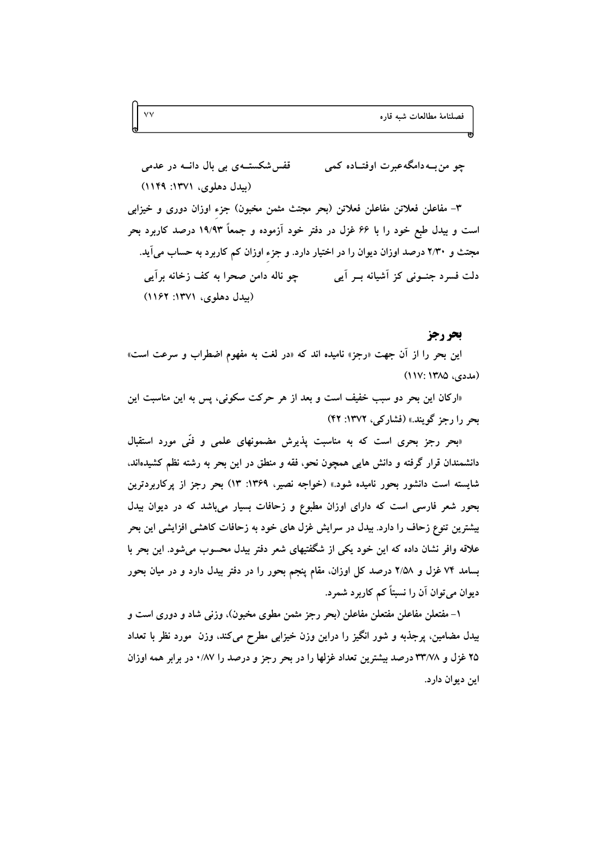قفس شکستــهی بی بال دانــه در عدمی چو من بــه دامگه عبرت اوفتــاده کمی (بیدل دهلوی، ۱۳۷۱: ۱۱۴۹)

۳– مفاعلن فعلاتن مفاعلن فعلاتن (بحر مجتث مثمن مخبون) جزء اوزان دوری و خیزابی است و بیدل طبع خود را با ۶۶ غزل در دفتر خود آزموده و جمعاً ۱۹/۹۳ درصد کاربرد بحر مجتث و ۲/۳۰ درصد اوزان دیوان را در اختیار دارد. و جزء اوزان کم کاربرد به حساب می آید. چو ناله دامن صحرا به کف زخانه برآیی دلت فسرد جنبونی کز آشیانه بسر آیی (بیدل دهلوی، ۱۳۷۱: ۱۱۶۲)

#### بحررجز

این بحر را از آن جهت «رجز» نامیده اند که «در لغت به مفهوم اضطراب و سرعت است» (مددی، ۱۳۸۵) (۱۱۷:

«اركان اين بحر دو سبب خفيف است و بعد از هر حركت سكوني، پس به اين مناسبت اين بحر را رجز گویند.» (فشارکے)، ۱۳۷۲: ۴۲)

«بحر رجز بحری است که به مناسبت پذیرش مضمونهای علمی و فنّی مورد استقبال دانشمندان قرار گرفته و دانش هایی همچون نحو، فقه و منطق در این بحر به رشته نظم کشیدهاند. شایسته است دانشور بحور نامیده شود.» (خواجه نصیر، ۱۳۶۹: ۱۳) بحر رجز از پرکاربردترین بحور شعر فارسی است که دارای اوزان مطبوع و زحافات بسیار میباشد که در دیوان بیدل بیشترین تنوع زحاف را دارد. بیدل در سرایش غزل های خود به زحافات کاهشی افزایشی این بحر علاقه وافر نشان داده که این خود یکی از شگفتیهای شعر دفتر بیدل محسوب میشود. این بحر با بسامد ۷۴ غزل و ۲/۵۸ درصد کل اوزان، مقام پنجم بحور را در دفتر بیدل دارد و در میان بحور دیوان میتوان آن را نسبتاً کم کاربرد شمرد.

۱– مفتعلن مفاعلن مفتعلن مفاعلن (بحر رجز مثمن مطوى مخبون)، وزنى شاد و دورى است و بیدل مضامین، پرجذبه و شور انگیز را دراین وزن خیزابی مطرح میکند، وزن مورد نظر با تعداد ۲۵ غزل و ۳۳/۷۸ درصد بیشترین تعداد غزلها را در بحر رجز و درصد را ۰/۸۷ در برابر همه اوزان اين ديوان دارد.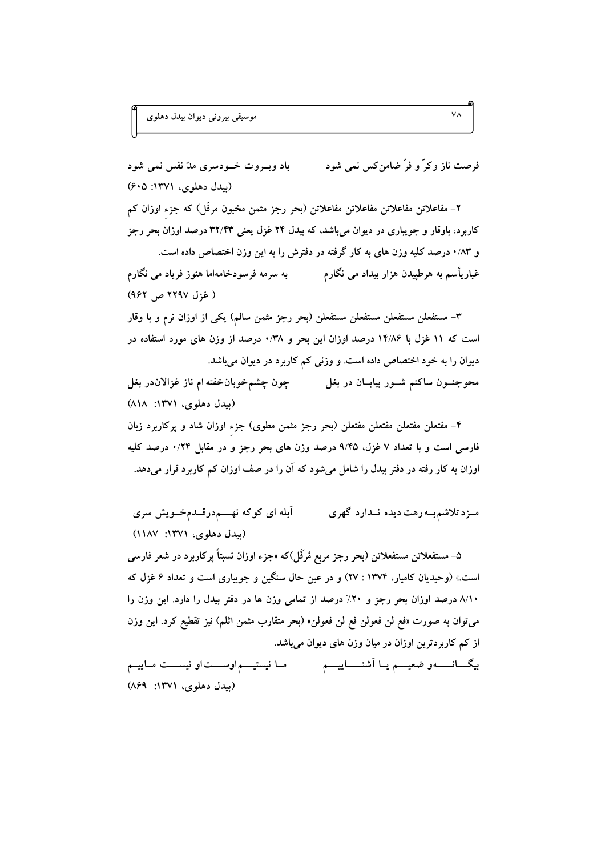فرصت ناز وكرٌ و فرٌ ضامن كس نمى شود باد وبورت خودسری مدّ نفس نمی شود (بېدل دهلوی، ۱۳۷۱: ۶۰۵)

۲– مفاعلاتن مفاعلاتن مفاعلاتن مفاعلاتن (بحر رجز مثمن مخبون مرفّل) که جزء اوزان کم کاربرد، باوقار و جویباری در دیوان میباشد، که بیدل ۲۴ غزل یعنی ۳۲/۴۳ درصد اوزان بحر رجز و ۸۳٪ درصد کلیه وزن های به کار گرفته در دفترش را به این وزن اختصاص داده است. غباریأسم به هرطپیدن هزار بیداد می نگارم به سرمه فرسودخامهاما هنوز فریاد می نگارم (غزل ۲۲۹۷ ص ۹۶۲)

۳– مستفعلن مستفعلن مستفعلن مستفعلن (بحر رجز مثمن سالم) یکی از اوزان نرم و با وقار است که ۱۱ غزل با ۱۴/۸۶ درصد اوزان این بحر و ۰/۳۸ درصد از وزن های مورد استفاده در دیوان را به خود اختصاص داده است. و وزنی کم کاربرد در دیوان میباشد. محوجنـــون ساکنم شـــور بیابـــان در بغل چون چشمخوبانخفته ام ناز غزالان در بغل

(بیدل دهلوی، ۱۳۷۱: ۸۱۸)

۴– مفتعلن مفتعلن مفتعلن مفتعلن (بحر رجز مثمن مطوى) جزء اوزان شاد و پركاربرد زبان فارسی است و با تعداد ۷ غزل، ۹/۴۵ درصد وزن های بحر رجز و در مقابل ۰/۲۴ درصد کلیه اوزان به کار رفته در دفتر بیدل را شامل میشود که آن را در صف اوزان کم کاربرد قرار میدهد.

آبله ای کوکه نهـــمدرقــدمخــویش سری مـزدتلاشم بـه رهت ديده نـدارد گهري (بیدل دهلوی، ۱۳۷۱: ۱۱۸۷)

۵– مستفعلاتن مستفعلاتن (بحر رجز مربع مُرَفّل)که «جزء اوزان نسبتاً یرکاربرد در شعر فارسی است.» (وحیدیان کامیار، ۱۳۷۴ : ۲۷) و در عین حال سنگین و جویباری است و تعداد ۶ غزل که ٨/١٠ درصد اوزان بحر رجز و ٢٠٪ درصد از تمامي وزن ها در دفتر بيدل را دارد. اين وزن را می توان به صورت «فع لن فعولن فع لن فعولن» (بحر متقارب مثمن اثلم) نیز تقطیع کرد. این وزن از کم کاربردترین اوزان در میان وزن های دیوان میباشد. بیگــانــــــهو ضعیــــم یــا اَشنـــــاییــــم مــا نیستیـــماوســــتاو نیســـت مــاییــم

(بیدل دهلوی، ۱۳۷۱: ۸۶۹)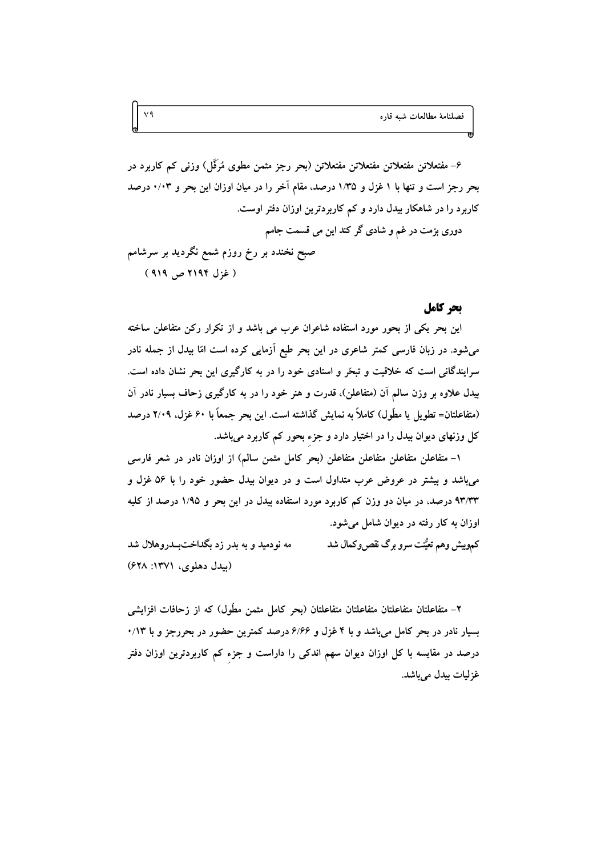۶– مفتعلاتن مفتعلاتن مفتعلاتن مفتعلاتن (بحر رجز مثمن مطوی مُرَفَّل) وزنی کم کاربرد در بحر رجز است و تنها با ۱ غزل و ۱/۳۵ درصد، مقام آخر را در میان اوزان این بحر و ۰/۰۳ درصد کاربرد را در شاهکار بیدل دارد و کم کاربردترین اوزان دفتر اوست. دوری بزمت در غم و شادی گر کند این می قسمت جامم صبح نخندد بر رخ روزم شمع نگردید بر سرشامم (غزل ۲۱۹۴ ص ۹۱۹)

## يجر كامل

این بحر یکی از بحور مورد استفاده شاعران عرب می باشد و از تکرار رکن متفاعلن ساخته میشود. در زبان فارسی کمتر شاعری در این بحر طبع آزمایی کرده است امّا بیدل از جمله نادر سرایندگانی است که خلاقیت و تبحّر و استادی خود را در به کارگیری این بحر نشان داده است. بیدل علاوه بر وزن سالم آن (متفاعلن)، قدرت و هنر خود را در به کارگیری زحاف بسیار نادر آن (متفاعلتان= تطویل یا مطّول) کاملاً به نمایش گذاشته است. این بحر جمعاً با ۶۰ غزل، ۲/۰۹ درصد کل وزنهای دیوان بیدل را در اختیار دارد و جزء بحور کم کاربرد میباشد.

۱– متفاعلن متفاعلن متفاعلن متفاعلن (بحر كامل مثمن سالم) از اوزان نادر در شعر فارسی میباشد و بیشتر در عروض عرب متداول است و در دیوان بیدل حضور خود را با ۵۶ غزل و ۹۳/۳۳ درصد، در میان دو وزن کم کاربرد مورد استفاده بیدل در این بحر و ۱/۹۵ درصد از کلیه اوزان به کار رفته در دیوان شامل می شود.

مه نودمید و به بدر زد بگداختبدروهلال شد کموبیش وهم تعیُّنت سرو برگ نقصروکمال شد (بيدل دهلوي، ١٣٧١: ۶۲۸)

۲– متفاعلتان متفاعلتان متفاعلتان متفاعلتان (بحر كامل مثمن مطَّول) كه از زحافات افزايشي بسیار نادر در بحر کامل میباشد و با ۴ غزل و ۶/۶۶ درصد کمترین حضور در بحررجز و با ۰/۱۳ درصد در مقایسه با کل اوزان دیوان سهم اندکی را داراست و جزء کم کاربردترین اوزان دفتر غزليات بيدل مي باشد.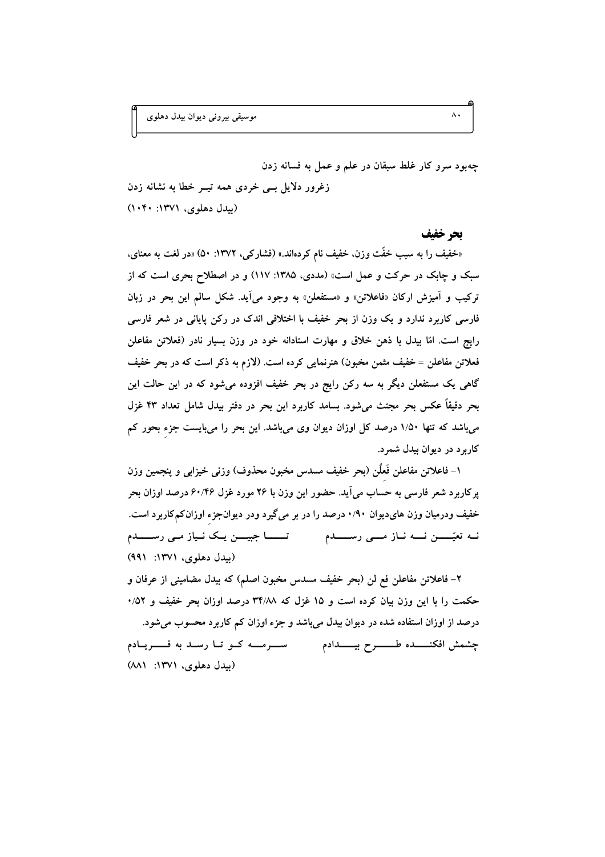چهبود سرو کار غلط سبقان در علم و عمل به فسانه زدن زغرور دلایل بسی خردی همه تیسر خطا به نشانه زدن

(بیدل دهلوی، ۱۳۷۱: ۱۰۴۰)

بحر خفيف

«خفیف را به سبب خفّت وزن. خفیف نام کردهاند.» (فشارکمی، ۱۳۷۲: ۵۰) «در لغت به معنای، سبک و چابک در حرکت و عمل است» (مددی، ۱۳۸۵: ۱۱۷) و در اصطلاح بحری است که از ترکیب و آمیزش ارکان «فاعلاتن» و «مستفعلن» به وجود می آید. شکل سالم این بحر در زبان فارسی کاربرد ندارد و یک وزن از بحر خفیف با اختلافی اندک در رکن پایانی در شعر فارسی رایج است. امّا بیدل با ذهن خلاق و مهارت استادانه خود در وزن بسیار نادر (فعلاتن مفاعلن فعلاتن مفاعلن = خفیف مثمن مخبون) هنرنمایی کرده است. (لازم به ذکر است که در بحر خفیف گاهی یک مستفعلن دیگر به سه رکن رایج در بحر خفیف افزوده می شود که در این حالت این بحر دقیقاً عکس بحر مجتث می شود. بسامد کاربرد این بحر در دفتر بیدل شامل تعداد ۴۳ غزل می باشد که تنها ۱/۵۰ درصد کل اوزان دیوان وی می باشد. این بحر را می بایست جزء بحور کم کاربر د در ديوان بيدل شمر د.

١– فاعلاتن مفاعلن فَعلَن (بحر خفيف مسدس مخبون محذوف) وزنى خيزابي و ينجمين وزن یرکاربرد شعر فارسی به حساب میآید. حضور این وزن با ۲۶ مورد غزل ۶۰/۴۶ درصد اوزان بحر خفیف ودرمیان وزن هایدیوان ۰/۹۰ درصد را در بر میگیرد ودر دیوانجزء اوزانکمکاربرد است. (بیدل دهلوی، ۱۳۷۱: ۹۹۱)

٢- فاعلاتن مفاعلن فع لن (بحر خفيف مسدس مخبون اصلم) كه بيدل مضاميني از عرفان و حکمت را با این وزن بیان کرده است و ۱۵ غزل که ۳۴/۸۸ درصد اوزان بحر خفیف و ۵۲/۰ درصد از اوزان استفاده شده در دیوان بیدل می باشد و جزء اوزان کم کاربرد محسوب میشود. (بیدل دهلوی، ۱۳۷۱: ۸۸۱)

 $\Lambda$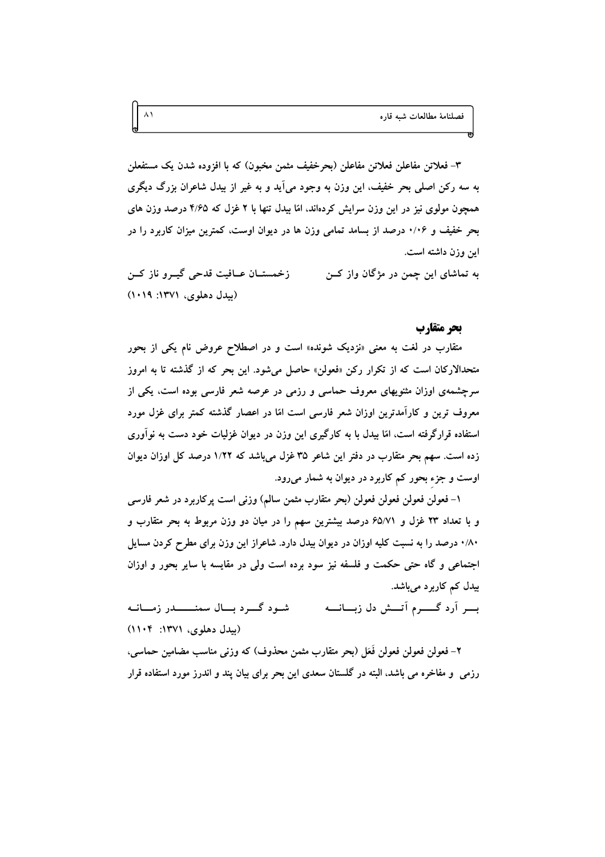۳– فعلاتن مفاعلن فعلاتن مفاعلن (بحرخفيف مثمن مخبون) که با افزوده شدن يک مستفعلن به سه رکن اصلی بحر خفیف، این وزن به وجود میآید و به غیر از بیدل شاعران بزرگ دیگری همچون مولوی نیز در این وزن سرایش کردهاند. امّا بیدل تنها با ۲ غزل که ۴/۶۵ درصد وزن های بحر خفیف و ۱٬۰۶ درصد از بسامد تمامی وزن ها در دیوان اوست، کمترین میزان کاربرد را در این وزن داشته است.

به تماشای این چمن در مژگان واز کــن زخمستــان عــافيت قدحى گيــرو ناز كــن (بیدل دهلوی، ۱۳۷۱: ۱۰۱۹)

### بحر متقارب

متقارب در لغت به معنی «نزدیک شونده» است و در اصطلاح عروض نام یکی از بحور متحدالارکان است که از تکرار رکن «فعولن» حاصل میشود. این بحر که از گذشته تا به امروز سرچشمهی اوزان مثنویهای معروف حماسی و رزمی در عرصه شعر فارسی بوده است، یکی از معروف ترین و کارآمدترین اوزان شعر فارسی است امّا در اعصار گذشته کمتر برای غزل مورد استفاده قرارگرفته است، امّا بیدل با به کارگیری این وزن در دیوان غزلیات خود دست به نوآوری زده است. سهم بحر متقارب در دفتر این شاعر ۳۵ غزل میباشد که ۱/۲۲ درصد کل اوزان دیوان اوست و جزء بحور کم کاربرد در دیوان به شمار میرود.

۱– فعولن فعولن فعولن فعولن (بحر متقارب مثمن سالم) وزنی است پرکاربرد در شعر فارسی و با تعداد ۲۳ غزل و ۶۵/۷۱ درصد بیشترین سهم را در میان دو وزن مربوط به بحر متقارب و ۰/۸۰ درصد را به نسبت کلیه اوزان در دیوان بیدل دارد. شاعراز این وزن برای مطرح کردن مسایل اجتماعی و گاه حتی حکمت و فلسفه نیز سود برده است ولی در مقایسه با سایر بحور و اوزان بیدل کم کاربرد میباشد.

بور آرد گسرم آتسش دل زبسانسه شـود گـــرد بـــال سمنـــــــدر زمـــانــه (بيدل دهلوي، ١٣٧١: ١١٠۴)

٢- فعولن فعولن فعولن فَعَل (بحر متقارب مثمن محذوف) که وزنبي مناسب مضامين حماسي. رزمی ً و مفاخره می باشد، البته در گلستان سعدی این بحر برای بیان پند و اندرز مورد استفاده قرار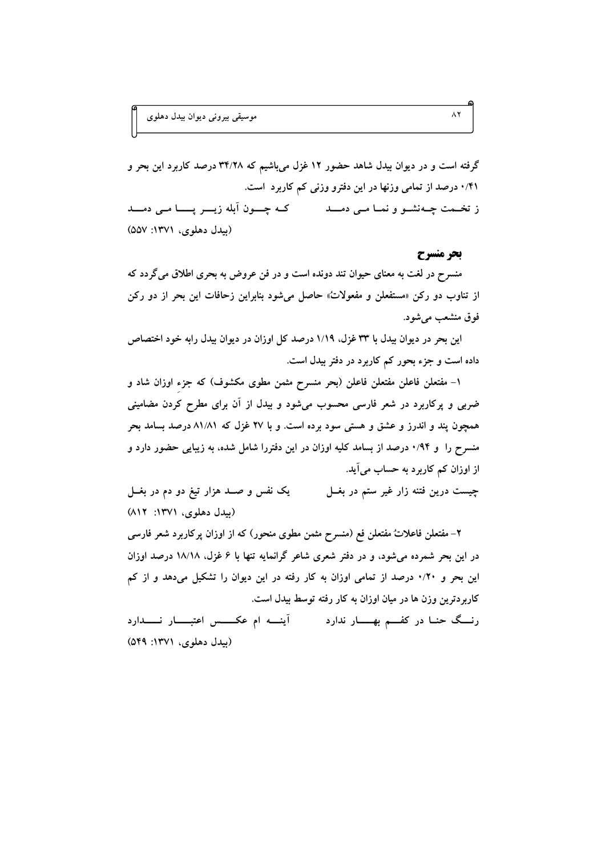گرفته است و در دیوان بیدل شاهد حضور ۱۲ غزل میباشیم که ۳۴/۲۸ درصد کاربرد این بحر و ۰/۴۱ درصد از تمامی وزنها در این دفترو وزنی کم کاربرد است. ز تخـمت چــهنشــو و نمــا مــي دمــــد کــه چــــون آبله زيــــر پــــــا مــي دمــــد (بيدل دهلوی، ١٣٧١: ۵۵۷)

#### بحر منسرح

منسرح در لغت به معنای حیوان تند دونده است و در فن عروض به بحری اطلاق میگردد که از تناوب دو رکن «مستفعلن و مفعولات» حاصل میشود بنابراین زحافات این بحر از دو رکن فوق منشعب مي شود.

این بحر در دیوان بیدل با ۳۳ غزل، ۱/۱۹ درصد کل اوزان در دیوان بیدل رابه خود اختصاص داده است و جزء بحور کم کاربرد در دفتر بیدل است.

۱– مفتعلن فاعلن مفتعلن فاعلن (بحر منسرح مثمن مطوى مكشوف) كه جزء اوزان شاد و ضربی و پرکاربرد در شعر فارسی محسوب میشود و بیدل از آن برای مطرح کردن مضامینی همچون پند و اندرز و عشق و هستی سود برده است. و با ۲۷ غزل که ۸۱/۸۱ درصد بسامد بحر منسرح را و ۰/۹۴ درصد از بسامد کلیه اوزان در این دفتررا شامل شده، به زیبایی حضور دارد و از اوزان کم کاربرد به حساب می آید.

یک نفس و صـد هزار تیغ دو دم در بغــل چیست درین فتنه زار غیر ستم در بغــل (بیدل دهلوی، ۱۳۷۱: ۸۱۲)

۲– مفتعلن فاعلاتٌ مفتعلن فع (منسرح مثمن مطوى منحور) كه از اوزان پركاربرد شعر فارسى در این بحر شمرده میشود، و در دفتر شعری شاعر گرانمایه تنها با ۶ غزل، ۱۸/۱۸ درصد اوزان این بحر و ۰/۲۰ درصد از تمامی اوزان به کار رفته در این دیوان را تشکیل میدهد و از کم کاربردترین وزن ها در میان اوزان به کار رفته توسط بیدل است.

رنسگ حنـا در كفـــم بهـــــار ندارد \_\_\_\_\_ اَينــــه ام عكــــــس اعتبـــــار نــــــدارد (بېدل دهلوی، ۱۳۷۱: ۵۴۹)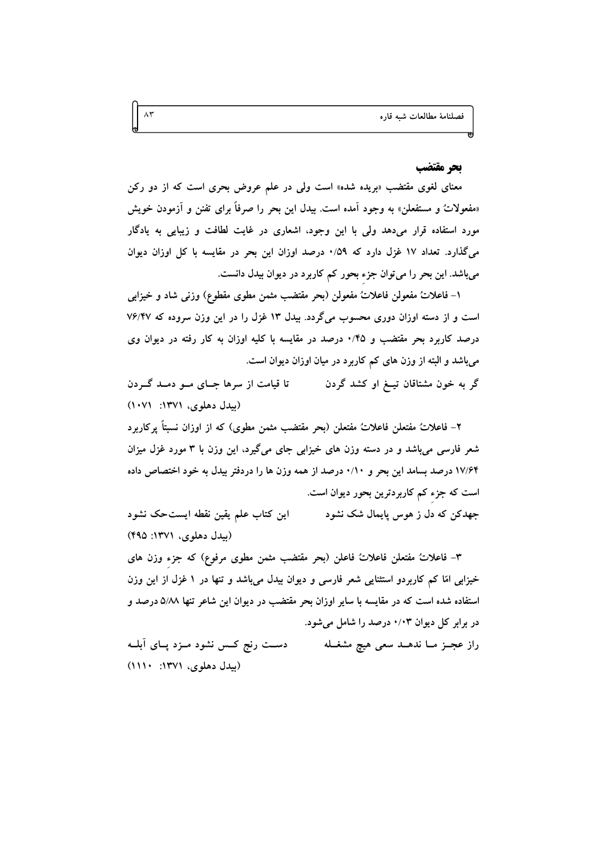## بحر مقتضب

معنای لغوی مقتضب «بریده شده» است ولی در علم عروض بحری است که از دو رکن «مفعولاتٌ و مستفعلن» به وجود آمده است. بيدل اين بحر را صرفاً براي تفنن و آزمودن خويش مورد استفاده قرار میدهد ولی با این وجود، اشعاری در غایت لطافت و زیبایی به یادگار میگذارد. تعداد ۱۷ غزل دارد که ۰/۵۹ درصد اوزان این بحر در مقایسه با کل اوزان دیوان میباشد. این بحر را می توان جزء بحور کم کاربرد در دیوان بیدل دانست.

١- فاعلاتُ مفعولن فاعلاتٌ مفعولن (بحر مقتضب مثمن مطوى مقطوع) وزني شاد و خيزابي است و از دسته اوزان دوری محسوب میگردد. بیدل ۱۳ غزل را در این وزن سروده که ۷۶/۴۷ درصد کاربرد بحر مقتضب و ۰/۴۵ درصد در مقایسه با کلیه اوزان به کار رفته در دیوان وی میباشد و البته از وزن های کم کاربرد در میان اوزان دیوان است.

گر به خون مشتاقان تیــغ او کشد گردن تا قیامت از سرها جبای مو دمند گردن (بیدل دهلوی، ۱۳۷۱: ۱۰۷۱)

۲– فاعلاتٌ مفتعلن فاعلاتٌ مفتعلن (بحر مقتضب مثمن مطوى) كه از اوزان نسبتاً پركاربرد شعر فارسی میباشد و در دسته وزن های خیزابی جای میگیرد، این وزن با ۳ مورد غزل میزان ۱۷/۶۴ درصد بسامد این بحر و ۰/۱۰ درصد از همه وزن ها را دردفتر بیدل به خود اختصاص داده است که جزء کم کاربردترین بحور دیوان است.

اين كتاب علم يقين نقطه ايستحك نشود جهدکن که دل ز هوس پایمال شک نشود (بیدل دهلوی، ۱۳۷۱: ۴۹۵)

٣– فاعلاتٌ مفتعلن فاعلاتٌ فاعلن (بحر مقتضب مثمن مطوى مرفوع) كه جزء وزن هاى خیزابی امّا کم کاربردو استثنایی شعر فارسی و دیوان بیدل میباشد و تنها در ۱ غزل از این وزن استفاده شده است که در مقایسه با سایر اوزان بحر مقتضب در دیوان این شاعر تنها ۵/۸۸ درصد و در برابر کل دیوان ۰/۰۳ درصد را شامل می شود.

دست رنج کـس نشود مـزد پـای آبلــه راز عجـز مــا ندهــد سعى هيچ مشغــله (بیدل دهلوی، ۱۳۷۱: ۱۱۱۰)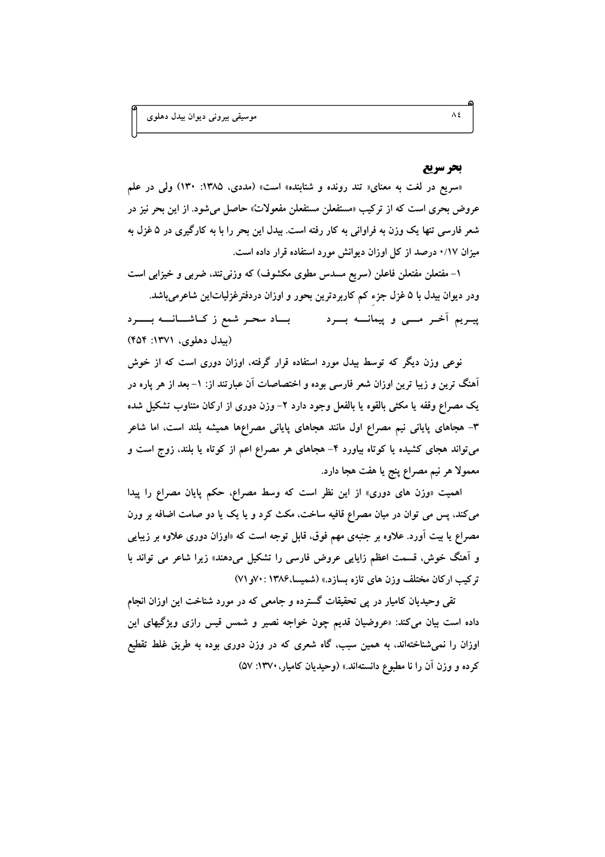## بحر سريع

«سریع در لغت به معنای« تند رونده و شتابنده» است» (مددی، ۱۳۸۵: ۱۳۰) ولی در علم عروض بحری است که از ترکیب «مستفعلن مستفعلن مفعولات» حاصل میشود. از این بحر نیز در شعر فارسی تنها یک وزن به فراوانی به کار رفته است. بیدل این بحر را با به کارگیری در ۵ غزل به میزان ۰/۱۷ درصد از کل اوزان دیوانش مورد استفاده قرار داده است.

۱– مفتعلن مفتعلن فاعلن (سریع مسدس مطوی مکشوف) که وزنی تند، ضربی و خیزابی است ودر دیوان بیدل با ۵ غزل جزء کم کاربردترین بحور و اوزان دردفترغزلیاتاین شاعرمیباشد. بساد سحر شمع ز کناشسانسه بسیرد پیـریم اَخـر مـــی و پیمانـــه بـــرد (سدل دهلوی، ۱۳۷۱: ۴۵۴)

نوعی وزن دیگر که توسط بیدل مورد استفاده قرار گرفته، اوزان دوری است که از خوش آهنگ ترین و زیبا ترین اوزان شعر فارسی بوده و اختصاصات آن عبارتند از: ١– بعد از هر پاره در یک مصراع وقفه یا مکثی بالقوه یا بالفعل وجود دارد ۲– وزن دوری از ارکان متناوب تشکیل شده ۳– هجاهای پایانی نیم مصراع اول مانند هجاهای پایانی مصراعها همیشه بلند است، اما شاعر میتواند هجای کشیده یا کوتاه بیاورد ۴– هجاهای هر مصراع اعم از کوتاه یا بلند، زوج است و معمولا هر نيم مصراع پنج يا هفت هجا دارد.

اهمیت «وزن های دوری» از این نظر است که وسط مصراع، حکم پایان مصراع را پیدا میکند، پس می توان در میان مصراع قافیه ساخت، مکث کرد و یا یک یا دو صامت اضافه بر ورن مصراع یا بیت آورد. علاوه بر جنبهی مهم فوق، قابل توجه است که «اوزان دوری علاوه بر زیبایی و آهنگ خوش، قسمت اعظم زایایی عروض فارسی را تشکیل میدهند» زیرا شاعر می تواند با تركيب اركان مختلف وزن هاي تازه بسازد.» (شميسا،١٣٨۶: ٧٠و ٧١)

تقی وحیدیان کامیار در پی تحقیقات گسترده و جامعی که در مورد شناخت این اوزان انجام داده است بیان میکند: «عروضیان قدیم چون خواجه نصیر و شمس قیس رازی ویژگیهای این اوزان را نمی شناختهاند، به همین سبب، گاه شعری که در وزن دوری بوده به طریق غلط تقطیع کرده و وزن آن را نا مطبوع دانستهاند.» (وحیدیان کامیار، ۱۳۷۰: ۵۷)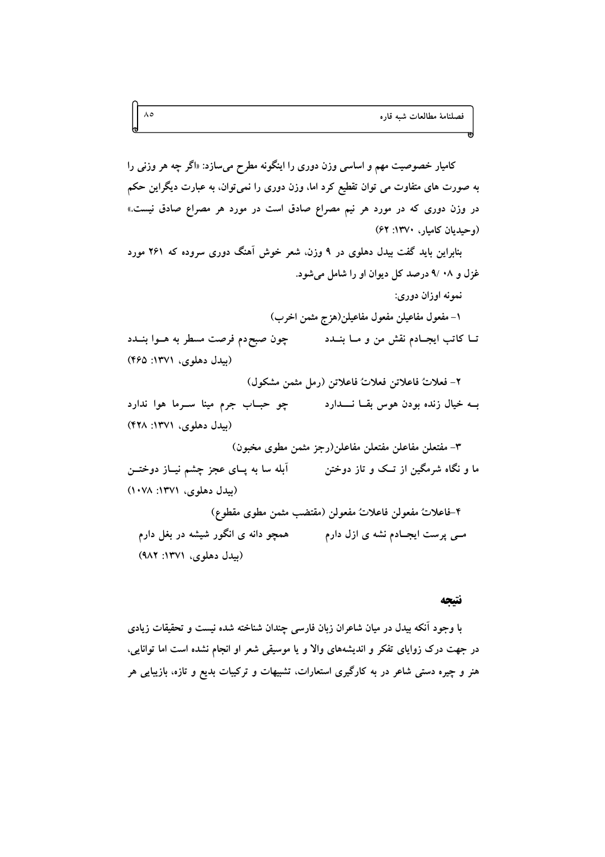کامیار خصوصیت مهم و اساسی وزن دوری را اینگونه مطرح میسازد: «اگر چه هر وزنی را به صورت های متفاوت می توان تقطیع کرد اما، وزن دوری را نمی توان، به عبارت دیگراین حکم در وزن دوری که در مورد هر نیم مصراع صادق است در مورد هر مصراع صادق نیست.» (وحیدیان کامبار، ۱۳۷۰: ۶۲)

بنابراین باید گفت بیدل دهلوی در ۹ وزن، شعر خوش آهنگ دوری سروده که ۲۶۱ مورد غزل و ۰۸ /۹ درصد کل دیوان او را شامل می شود.

نمونه اوزان دوري:

١- مفعول مفاعيلن مفعول مفاعيلن(هزج مثمن اخرب) چون صبح دم فرصت مسطر به هــوا بنــدد تــا كاتب ايجــادم نقش من و مــا بنــدد (بیدل دهلوی، ۱۳۷۱: ۴۶۵)

٢- فعلاتٌ فاعلاتن فعلاتٌ فاعلاتن (رمل مثمن مشكول)

(بیدل دهلوی، ۱۳۷۱: ۴۲۸) ٣- مفتعلن مفاعلن مفتعلن مفاعلن(رجز مثمن مطوى مخبون)

(بیدل دهلوی، ۱۳۷۱: ۱۰۷۸) ۴-فاعلاتٌ مفعولن فاعلاتٌ مفعولن (مقتضب مثمن مطوى مقطوع)

مــی پرست ایجــادم نشه ی ازل دارم همچو دانه ی انگور شیشه در بغل دارم (بیدل دهلوی، ۱۳۷۱: ۹۸۲)

#### نتتجه

با وجود آنکه بیدل در میان شاعران زبان فارسی چندان شناخته شده نیست و تحقیقات زیادی در جهت درک زوایای تفکر و اندیشههای والا و یا موسیقی شعر او انجام نشده است اما توانایی، هنر و چیره دستی شاعر در به کارگیری استعارات، تشبیهات و ترکیبات بدیع و تازه، بازیبایی هر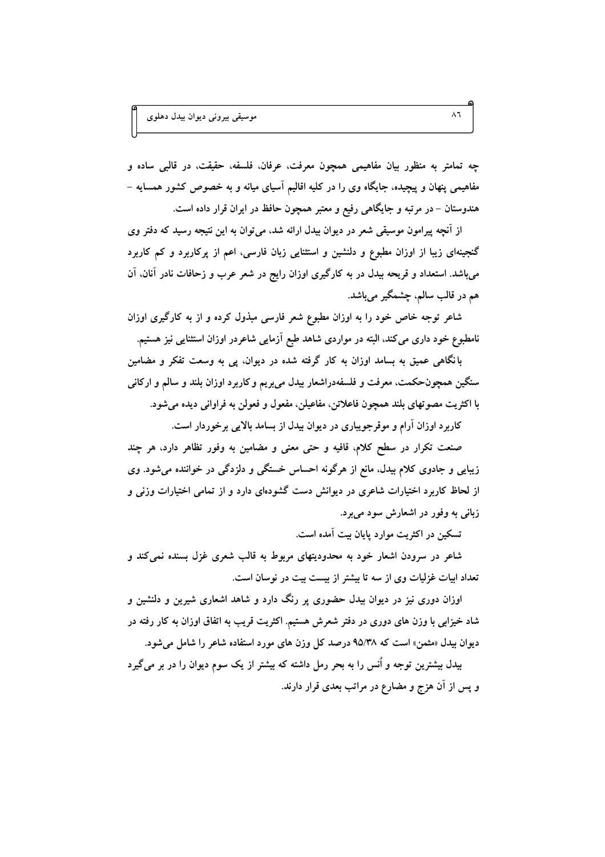چه تمامتر به منظور بیان مفاهیمی همچون معرفت، عرفان. فلسفه، حقیقت، در قالبی ساده و مفاهیمی پنهان و پیچیده، جایگاه وی را در کلیه اقالیم آسیای میانه و به خصوص کشور همسایه – هندوستان – در مرتبه و جایگاهی رفیع و معتبر همچون حافظ در ایران قرار داده است.

از آنچه پیرامون موسیقی شعر در دیوان بیدل ارائه شد، میتوان به این نتیجه رسید که دفتر وی گنجینهای زیبا از اوزان مطبوع و دلنشین و استثنایی زبان فارسی، اعم از یرکاربرد و کم کاربرد میباشد. استعداد و قریحه بیدل در به کارگیری اوزان رایج در شعر عرب و زحافات نادر آنان، آن هم در قالب سالم، چشمگیر میباشد.

شاعر توجه خاص خود را به اوزان مطبوع شعر فارسی مبذول کرده و از به کارگیری اوزان نامطبوع خود داری می کند، البته در مواردی شاهد طبع آزمایی شاعردر اوزان استثنایی نیز هستیم.

بانگاهی عمیق به بسامد اوزان به کار گرفته شده در دیوان، پی به وسعت تفکر و مضامین سنگین همچونحکمت، معرفت و فلسفهدراشعار بیدل میبریم و کاربرد اوزان بلند و سالم و ارکانی با اکثريت مصوتهاي بلند همچون فاعلاتن، مفاعيلن، مفعول و فعولن به فراواني ديده مي شود.

کاربرد اوزان آرام و موقرجویباری در دیوان بیدل از بسامد بالایی برخوردار است.

صنعت تکرار در سطح کلام، قافیه و حتی معنی و مضامین به وفور تظاهر دارد، هر چند زیبایی و جادوی کلام بیدل، مانع از هرگونه احساس خستگی و دلزدگی در خواننده میشود. وی از لحاظ کاربرد اختیارات شاعری در دیوانش دست گشودهای دارد و از تمامی اختیارات وزنی و زبانی به وفور در اشعارش سود میبرد.

تسکين در اکثريت موارد پايان بيت آمده است.

شاعر در سرودن اشعار خود به محدودیتهای مربوط به قالب شعری غزل بسنده نمی کند و تعداد ابیات غزلیات وی از سه تا بیشتر از بیست بیت در نوسان است.

اوزان دوری نیز در دیوان بیدل حضوری پر رنگ دارد و شاهد اشعاری شیرین و دلنشین و شاد خیزابی با وزن های دوری در دفتر شعرش هستیم. اکثریت قریب به اتفاق اوزان به کار رفته در دیوان بیدل «مثمن» است که ۹۵/۳۸ درصد کل وزن های مورد استفاده شاعر را شامل می شود. بیدل بیشترین توجه و اُنس را به بحر رمل داشته که بیشتر از یک سوم دیوان را در بر میگیرد و پس از آن هزج و مضارع در مراتب بعدی قرار دارند.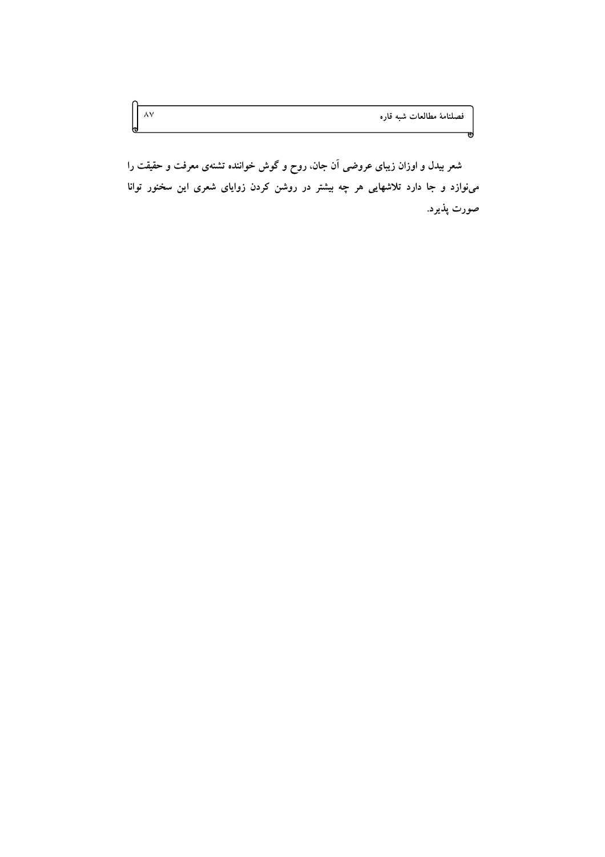فصلنامهٔ مطالعات شبه قاره

ᆔ

شعر بیدل و اوزان زیبای عروضی آن جان، روح و گوش خواننده تشنهی معرفت و حقیقت را مینوازد و جا دارد تلاشهایی هر چه بیشتر در روشن کردن زوایای شعری این سخنور توانا صورت پذیرد.